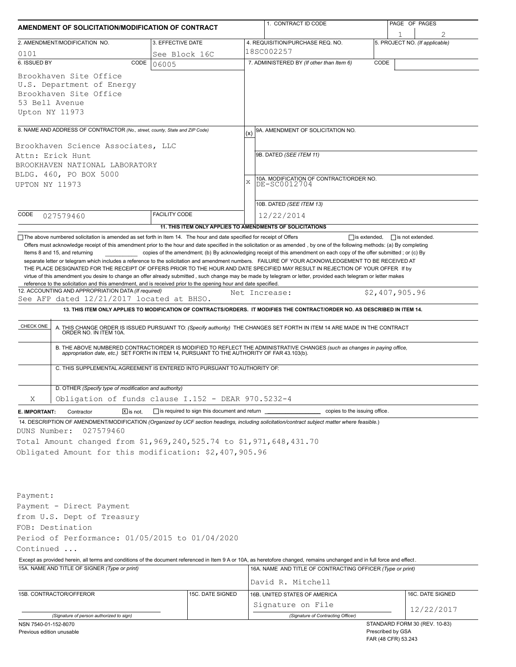| AMENDMENT OF SOLICITATION/MODIFICATION OF CONTRACT                                                                                                                                                                                                                                                                                                                                                                                                                                                                                                                                                                                                                               |                                                                                   |     | 1. CONTRACT ID CODE                                                                                                                                                                                                                                                                                                                                                          |      | PAGE OF PAGES                  |
|----------------------------------------------------------------------------------------------------------------------------------------------------------------------------------------------------------------------------------------------------------------------------------------------------------------------------------------------------------------------------------------------------------------------------------------------------------------------------------------------------------------------------------------------------------------------------------------------------------------------------------------------------------------------------------|-----------------------------------------------------------------------------------|-----|------------------------------------------------------------------------------------------------------------------------------------------------------------------------------------------------------------------------------------------------------------------------------------------------------------------------------------------------------------------------------|------|--------------------------------|
| 2. AMENDMENT/MODIFICATION NO.                                                                                                                                                                                                                                                                                                                                                                                                                                                                                                                                                                                                                                                    | 3. EFFECTIVE DATE                                                                 |     | 4. REQUISITION/PURCHASE REQ. NO.                                                                                                                                                                                                                                                                                                                                             |      | 5. PROJECT NO. (If applicable) |
| 0101                                                                                                                                                                                                                                                                                                                                                                                                                                                                                                                                                                                                                                                                             | See Block 16C                                                                     |     | 18SC002257                                                                                                                                                                                                                                                                                                                                                                   |      |                                |
| 6. ISSUED BY<br>CODE                                                                                                                                                                                                                                                                                                                                                                                                                                                                                                                                                                                                                                                             | 06005                                                                             |     | 7. ADMINISTERED BY (If other than Item 6)                                                                                                                                                                                                                                                                                                                                    | CODE |                                |
| Brookhaven Site Office<br>U.S. Department of Energy<br>Brookhaven Site Office<br>53 Bell Avenue<br>Upton NY 11973                                                                                                                                                                                                                                                                                                                                                                                                                                                                                                                                                                |                                                                                   |     |                                                                                                                                                                                                                                                                                                                                                                              |      |                                |
| 8. NAME AND ADDRESS OF CONTRACTOR (No., street, county, State and ZIP Code)                                                                                                                                                                                                                                                                                                                                                                                                                                                                                                                                                                                                      |                                                                                   | (x) | 9A. AMENDMENT OF SOLICITATION NO.                                                                                                                                                                                                                                                                                                                                            |      |                                |
| Brookhaven Science Associates, LLC<br>Attn: Erick Hunt<br>BROOKHAVEN NATIONAL LABORATORY<br>BLDG. 460, PO BOX 5000<br>UPTON NY 11973                                                                                                                                                                                                                                                                                                                                                                                                                                                                                                                                             |                                                                                   | X   | 9B. DATED (SEE ITEM 11)<br>10A. MODIFICATION OF CONTRACT/ORDER NO.<br>DE-SC0012704                                                                                                                                                                                                                                                                                           |      |                                |
|                                                                                                                                                                                                                                                                                                                                                                                                                                                                                                                                                                                                                                                                                  |                                                                                   |     | 10B. DATED (SEE ITEM 13)                                                                                                                                                                                                                                                                                                                                                     |      |                                |
| CODE<br>027579460                                                                                                                                                                                                                                                                                                                                                                                                                                                                                                                                                                                                                                                                | <b>FACILITY CODE</b><br>11. THIS ITEM ONLY APPLIES TO AMENDMENTS OF SOLICITATIONS |     | 12/22/2014                                                                                                                                                                                                                                                                                                                                                                   |      |                                |
| separate letter or telegram which includes a reference to the solicitation and amendment numbers. FAILURE OF YOUR ACKNOWLEDGEMENT TO BE RECEIVED AT<br>THE PLACE DESIGNATED FOR THE RECEIPT OF OFFERS PRIOR TO THE HOUR AND DATE SPECIFIED MAY RESULT IN REJECTION OF YOUR OFFER If by<br>virtue of this amendment you desire to change an offer already submitted, such change may be made by telegram or letter, provided each telegram or letter makes<br>reference to the solicitation and this amendment, and is received prior to the opening hour and date specified.<br>12. ACCOUNTING AND APPROPRIATION DATA (If required)<br>See AFP dated 12/21/2017 located at BHSO. |                                                                                   |     | Net Increase:                                                                                                                                                                                                                                                                                                                                                                |      | \$2,407,905.96                 |
|                                                                                                                                                                                                                                                                                                                                                                                                                                                                                                                                                                                                                                                                                  |                                                                                   |     | 13. THIS ITEM ONLY APPLIES TO MODIFICATION OF CONTRACTS/ORDERS. IT MODIFIES THE CONTRACT/ORDER NO. AS DESCRIBED IN ITEM 14.                                                                                                                                                                                                                                                  |      |                                |
| CHECK ONE<br>C. THIS SUPPLEMENTAL AGREEMENT IS ENTERED INTO PURSUANT TO AUTHORITY OF:                                                                                                                                                                                                                                                                                                                                                                                                                                                                                                                                                                                            |                                                                                   |     | A. THIS CHANGE ORDER IS ISSUED PURSUANT TO: (Specify authority) THE CHANGES SET FORTH IN ITEM 14 ARE MADE IN THE CONTRACT ORDER NO. IN ITEM 10A.<br>B. THE ABOVE NUMBERED CONTRACT/ORDER IS MODIFIED TO REFLECT THE ADMINISTRATIVE CHANGES (such as changes in paying office,<br>appropriation date, etc.) SET FORTH IN ITEM 14, PURSUANT TO THE AUTHORITY OF FAR 43.103(b). |      |                                |
| D. OTHER (Specify type of modification and authority)<br>Χ<br>Obligation of funds clause $I.152$ - DEAR 970.5232-4                                                                                                                                                                                                                                                                                                                                                                                                                                                                                                                                                               |                                                                                   |     |                                                                                                                                                                                                                                                                                                                                                                              |      |                                |
| $\boxed{\mathbf{X}}$ is not.<br>E. IMPORTANT:<br>Contractor                                                                                                                                                                                                                                                                                                                                                                                                                                                                                                                                                                                                                      | is required to sign this document and return                                      |     | copies to the issuing office.                                                                                                                                                                                                                                                                                                                                                |      |                                |
| 14. DESCRIPTION OF AMENDMENT/MODIFICATION (Organized by UCF section headings, including solicitation/contract subject matter where feasible.)<br>027579460<br>DUNS Number:<br>Total Amount changed from \$1,969,240,525.74 to \$1,971,648,431.70<br>Obligated Amount for this modification: \$2,407,905.96                                                                                                                                                                                                                                                                                                                                                                       |                                                                                   |     |                                                                                                                                                                                                                                                                                                                                                                              |      |                                |
| Payment:<br>Payment - Direct Payment<br>from U.S. Dept of Treasury<br>FOB: Destination<br>Period of Performance: 01/05/2015 to 01/04/2020                                                                                                                                                                                                                                                                                                                                                                                                                                                                                                                                        |                                                                                   |     |                                                                                                                                                                                                                                                                                                                                                                              |      |                                |
| Continued                                                                                                                                                                                                                                                                                                                                                                                                                                                                                                                                                                                                                                                                        |                                                                                   |     |                                                                                                                                                                                                                                                                                                                                                                              |      |                                |
| Except as provided herein, all terms and conditions of the document referenced in Item 9 A or 10A, as heretofore changed, remains unchanged and in full force and effect.<br>15A. NAME AND TITLE OF SIGNER (Type or print)                                                                                                                                                                                                                                                                                                                                                                                                                                                       |                                                                                   |     | 16A. NAME AND TITLE OF CONTRACTING OFFICER (Type or print)                                                                                                                                                                                                                                                                                                                   |      |                                |
|                                                                                                                                                                                                                                                                                                                                                                                                                                                                                                                                                                                                                                                                                  |                                                                                   |     | David R. Mitchell                                                                                                                                                                                                                                                                                                                                                            |      |                                |
| 15B. CONTRACTOR/OFFEROR                                                                                                                                                                                                                                                                                                                                                                                                                                                                                                                                                                                                                                                          | 15C. DATE SIGNED                                                                  |     | 16B. UNITED STATES OF AMERICA<br>Signature on File                                                                                                                                                                                                                                                                                                                           |      | 16C. DATE SIGNED<br>12/22/2017 |
| (Signature of person authorized to sign)<br>NSN 7540-01-152-8070                                                                                                                                                                                                                                                                                                                                                                                                                                                                                                                                                                                                                 |                                                                                   |     | (Signature of Contracting Officer)                                                                                                                                                                                                                                                                                                                                           |      | STANDARD FORM 30 (REV. 10-83)  |
| Previous edition unusable                                                                                                                                                                                                                                                                                                                                                                                                                                                                                                                                                                                                                                                        |                                                                                   |     |                                                                                                                                                                                                                                                                                                                                                                              |      | Prescribed by GSA              |

| <b>I</b> TOODING BY OUT |  |
|-------------------------|--|
| FAR (48 CFR) 53.243     |  |